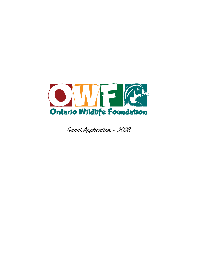

Grant Application – 2023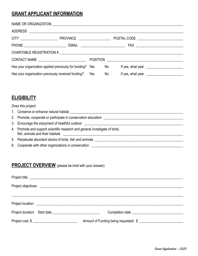## **GRANT APPLICANT INFORMATION**

| CONTACT NAME _____________________________                |  |  |    |  |                                                                                                                                                                                                                                   |  |  |  |
|-----------------------------------------------------------|--|--|----|--|-----------------------------------------------------------------------------------------------------------------------------------------------------------------------------------------------------------------------------------|--|--|--|
| Has your organization applied previously for funding? Yes |  |  | No |  | If yes, what year $\frac{1}{2}$ with the set of the set of the set of the set of the set of the set of the set of the set of the set of the set of the set of the set of the set of the set of the set of the set of the set of t |  |  |  |
| Has your organization previously received funding? Yes    |  |  | No |  |                                                                                                                                                                                                                                   |  |  |  |

## **ELIGIBILITY**

## *Does this project:*

| 1. Conserve or enhance natural habitat                                                                           |
|------------------------------------------------------------------------------------------------------------------|
| 2. Promote, cooperate or participate in conservation education                                                   |
| 3. Encourage the enjoyment of healthful outdoor <b>contained the environment of healthful outdoor</b>            |
| 4. Promote and support scientific research and general investigate of birds,<br>fish, animals and their habitats |
| 5. Perpetuate abundant stocks of birds, fish and animals                                                         |
| 6. Cooperate with other organizations in conservation                                                            |

## **PROJECT OVERVIEW** (please be brief with your answer)

| $Project cost: $ \_$ | Amount of Funding being requested: \$ |  |  |  |  |  |  |
|----------------------|---------------------------------------|--|--|--|--|--|--|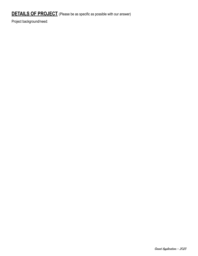Project background/need: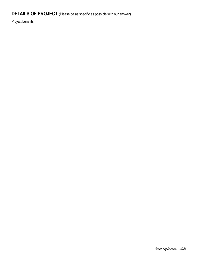Project benefits: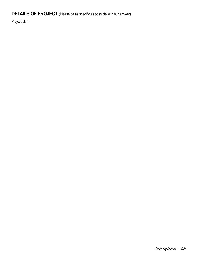Project plan: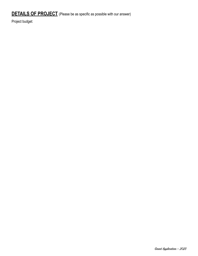Project budget: